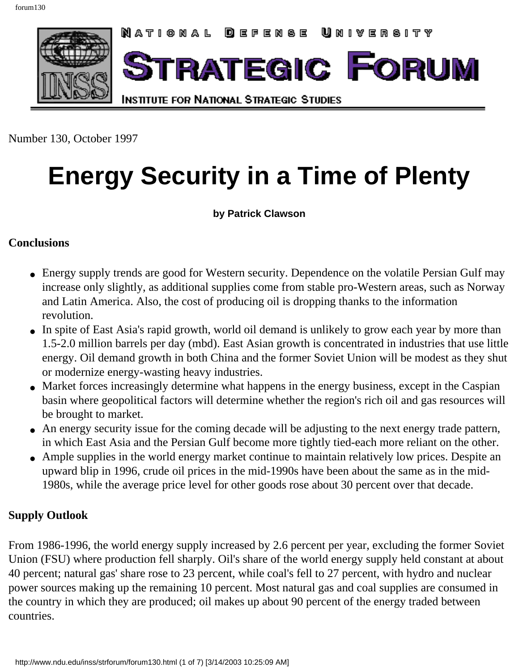<span id="page-0-0"></span>

Number 130, October 1997

# **Energy Security in a Time of Plenty**

**by Patrick Clawson**

#### **Conclusions**

- Energy supply trends are good for Western security. Dependence on the volatile Persian Gulf may increase only slightly, as additional supplies come from stable pro-Western areas, such as Norway and Latin America. Also, the cost of producing oil is dropping thanks to the information revolution.
- In spite of East Asia's rapid growth, world oil demand is unlikely to grow each year by more than 1.5-2.0 million barrels per day (mbd). East Asian growth is concentrated in industries that use little energy. Oil demand growth in both China and the former Soviet Union will be modest as they shut or modernize energy-wasting heavy industries.
- Market forces increasingly determine what happens in the energy business, except in the Caspian basin where geopolitical factors will determine whether the region's rich oil and gas resources will be brought to market.
- An energy security issue for the coming decade will be adjusting to the next energy trade pattern, in which East Asia and the Persian Gulf become more tightly tied-each more reliant on the other.
- Ample supplies in the world energy market continue to maintain relatively low prices. Despite an upward blip in 1996, crude oil prices in the mid-1990s have been about the same as in the mid-1980s, while the average price level for other goods rose about 30 percent over that decade.

#### **Supply Outlook**

From 1986-1996, the world energy supply increased by 2.6 percent per year, excluding the former Soviet Union (FSU) where production fell sharply. Oil's share of the world energy supply held constant at about 40 percent; natural gas' share rose to 23 percent, while coal's fell to 27 percent, with hydro and nuclear power sources making up the remaining 10 percent. Most natural gas and coal supplies are consumed in the country in which they are produced; oil makes up about 90 percent of the energy traded between countries.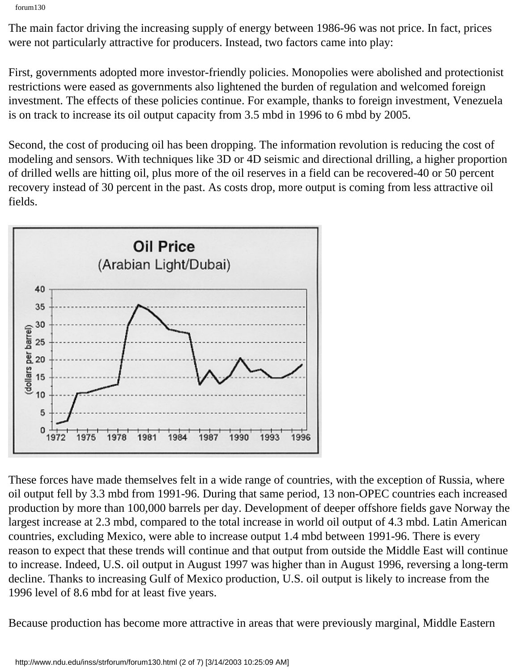forum130

The main factor driving the increasing supply of energy between 1986-96 was not price. In fact, prices were not particularly attractive for producers. Instead, two factors came into play:

First, governments adopted more investor-friendly policies. Monopolies were abolished and protectionist restrictions were eased as governments also lightened the burden of regulation and welcomed foreign investment. The effects of these policies continue. For example, thanks to foreign investment, Venezuela is on track to increase its oil output capacity from 3.5 mbd in 1996 to 6 mbd by 2005.

Second, the cost of producing oil has been dropping. The information revolution is reducing the cost of modeling and sensors. With techniques like 3D or 4D seismic and directional drilling, a higher proportion of drilled wells are hitting oil, plus more of the oil reserves in a field can be recovered-40 or 50 percent recovery instead of 30 percent in the past. As costs drop, more output is coming from less attractive oil fields.



These forces have made themselves felt in a wide range of countries, with the exception of Russia, where oil output fell by 3.3 mbd from 1991-96. During that same period, 13 non-OPEC countries each increased production by more than 100,000 barrels per day. Development of deeper offshore fields gave Norway the largest increase at 2.3 mbd, compared to the total increase in world oil output of 4.3 mbd. Latin American countries, excluding Mexico, were able to increase output 1.4 mbd between 1991-96. There is every reason to expect that these trends will continue and that output from outside the Middle East will continue to increase. Indeed, U.S. oil output in August 1997 was higher than in August 1996, reversing a long-term decline. Thanks to increasing Gulf of Mexico production, U.S. oil output is likely to increase from the 1996 level of 8.6 mbd for at least five years.

Because production has become more attractive in areas that were previously marginal, Middle Eastern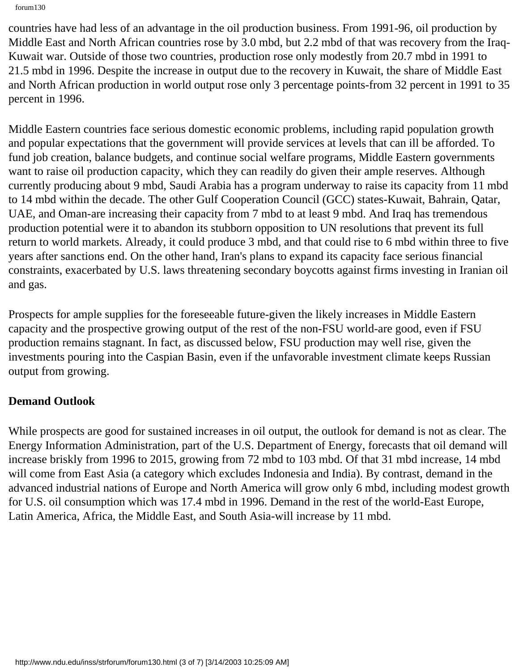forum130

countries have had less of an advantage in the oil production business. From 1991-96, oil production by Middle East and North African countries rose by 3.0 mbd, but 2.2 mbd of that was recovery from the Iraq-Kuwait war. Outside of those two countries, production rose only modestly from 20.7 mbd in 1991 to 21.5 mbd in 1996. Despite the increase in output due to the recovery in Kuwait, the share of Middle East and North African production in world output rose only 3 percentage points-from 32 percent in 1991 to 35 percent in 1996.

Middle Eastern countries face serious domestic economic problems, including rapid population growth and popular expectations that the government will provide services at levels that can ill be afforded. To fund job creation, balance budgets, and continue social welfare programs, Middle Eastern governments want to raise oil production capacity, which they can readily do given their ample reserves. Although currently producing about 9 mbd, Saudi Arabia has a program underway to raise its capacity from 11 mbd to 14 mbd within the decade. The other Gulf Cooperation Council (GCC) states-Kuwait, Bahrain, Qatar, UAE, and Oman-are increasing their capacity from 7 mbd to at least 9 mbd. And Iraq has tremendous production potential were it to abandon its stubborn opposition to UN resolutions that prevent its full return to world markets. Already, it could produce 3 mbd, and that could rise to 6 mbd within three to five years after sanctions end. On the other hand, Iran's plans to expand its capacity face serious financial constraints, exacerbated by U.S. laws threatening secondary boycotts against firms investing in Iranian oil and gas.

Prospects for ample supplies for the foreseeable future-given the likely increases in Middle Eastern capacity and the prospective growing output of the rest of the non-FSU world-are good, even if FSU production remains stagnant. In fact, as discussed below, FSU production may well rise, given the investments pouring into the Caspian Basin, even if the unfavorable investment climate keeps Russian output from growing.

## **Demand Outlook**

While prospects are good for sustained increases in oil output, the outlook for demand is not as clear. The Energy Information Administration, part of the U.S. Department of Energy, forecasts that oil demand will increase briskly from 1996 to 2015, growing from 72 mbd to 103 mbd. Of that 31 mbd increase, 14 mbd will come from East Asia (a category which excludes Indonesia and India). By contrast, demand in the advanced industrial nations of Europe and North America will grow only 6 mbd, including modest growth for U.S. oil consumption which was 17.4 mbd in 1996. Demand in the rest of the world-East Europe, Latin America, Africa, the Middle East, and South Asia-will increase by 11 mbd.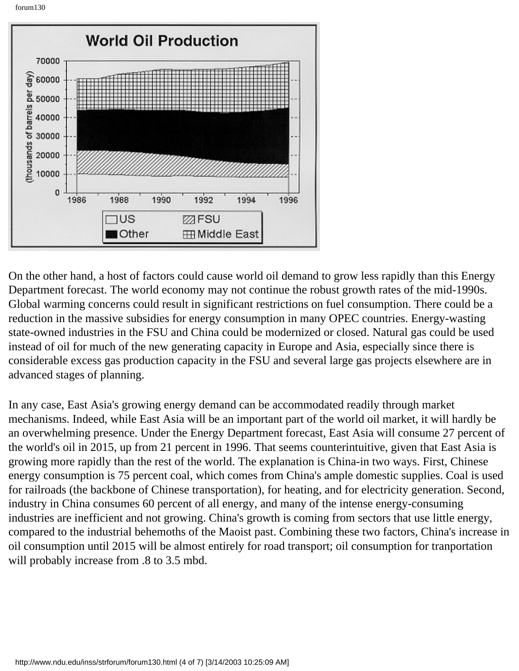forum130



On the other hand, a host of factors could cause world oil demand to grow less rapidly than this Energy Department forecast. The world economy may not continue the robust growth rates of the mid-1990s. Global warming concerns could result in significant restrictions on fuel consumption. There could be a reduction in the massive subsidies for energy consumption in many OPEC countries. Energy-wasting state-owned industries in the FSU and China could be modernized or closed. Natural gas could be used instead of oil for much of the new generating capacity in Europe and Asia, especially since there is considerable excess gas production capacity in the FSU and several large gas projects elsewhere are in advanced stages of planning.

In any case, East Asia's growing energy demand can be accommodated readily through market mechanisms. Indeed, while East Asia will be an important part of the world oil market, it will hardly be an overwhelming presence. Under the Energy Department forecast, East Asia will consume 27 percent of the world's oil in 2015, up from 21 percent in 1996. That seems counterintuitive, given that East Asia is growing more rapidly than the rest of the world. The explanation is China-in two ways. First, Chinese energy consumption is 75 percent coal, which comes from China's ample domestic supplies. Coal is used for railroads (the backbone of Chinese transportation), for heating, and for electricity generation. Second, industry in China consumes 60 percent of all energy, and many of the intense energy-consuming industries are inefficient and not growing. China's growth is coming from sectors that use little energy, compared to the industrial behemoths of the Maoist past. Combining these two factors, China's increase in oil consumption until 2015 will be almost entirely for road transport; oil consumption for tranportation will probably increase from  $.8$  to 3.5 mbd.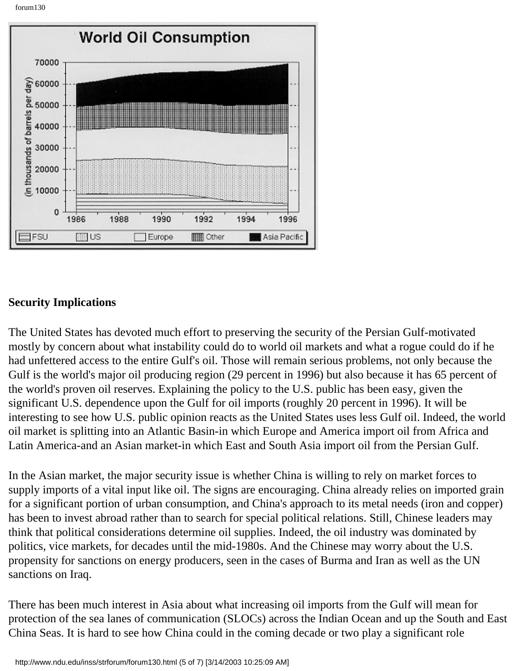forum130



### **Security Implications**

The United States has devoted much effort to preserving the security of the Persian Gulf-motivated mostly by concern about what instability could do to world oil markets and what a rogue could do if he had unfettered access to the entire Gulf's oil. Those will remain serious problems, not only because the Gulf is the world's major oil producing region (29 percent in 1996) but also because it has 65 percent of the world's proven oil reserves. Explaining the policy to the U.S. public has been easy, given the significant U.S. dependence upon the Gulf for oil imports (roughly 20 percent in 1996). It will be interesting to see how U.S. public opinion reacts as the United States uses less Gulf oil. Indeed, the world oil market is splitting into an Atlantic Basin-in which Europe and America import oil from Africa and Latin America-and an Asian market-in which East and South Asia import oil from the Persian Gulf.

In the Asian market, the major security issue is whether China is willing to rely on market forces to supply imports of a vital input like oil. The signs are encouraging. China already relies on imported grain for a significant portion of urban consumption, and China's approach to its metal needs (iron and copper) has been to invest abroad rather than to search for special political relations. Still, Chinese leaders may think that political considerations determine oil supplies. Indeed, the oil industry was dominated by politics, vice markets, for decades until the mid-1980s. And the Chinese may worry about the U.S. propensity for sanctions on energy producers, seen in the cases of Burma and Iran as well as the UN sanctions on Iraq.

There has been much interest in Asia about what increasing oil imports from the Gulf will mean for protection of the sea lanes of communication (SLOCs) across the Indian Ocean and up the South and East China Seas. It is hard to see how China could in the coming decade or two play a significant role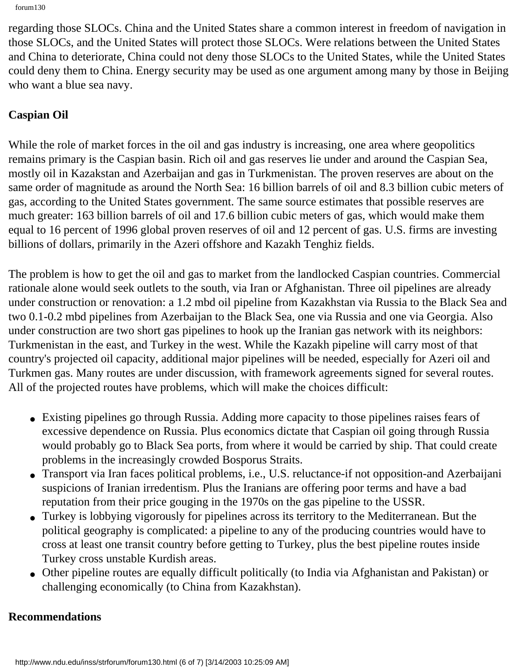```
forum130
```
regarding those SLOCs. China and the United States share a common interest in freedom of navigation in those SLOCs, and the United States will protect those SLOCs. Were relations between the United States and China to deteriorate, China could not deny those SLOCs to the United States, while the United States could deny them to China. Energy security may be used as one argument among many by those in Beijing who want a blue sea navy.

# **Caspian Oil**

While the role of market forces in the oil and gas industry is increasing, one area where geopolitics remains primary is the Caspian basin. Rich oil and gas reserves lie under and around the Caspian Sea, mostly oil in Kazakstan and Azerbaijan and gas in Turkmenistan. The proven reserves are about on the same order of magnitude as around the North Sea: 16 billion barrels of oil and 8.3 billion cubic meters of gas, according to the United States government. The same source estimates that possible reserves are much greater: 163 billion barrels of oil and 17.6 billion cubic meters of gas, which would make them equal to 16 percent of 1996 global proven reserves of oil and 12 percent of gas. U.S. firms are investing billions of dollars, primarily in the Azeri offshore and Kazakh Tenghiz fields.

The problem is how to get the oil and gas to market from the landlocked Caspian countries. Commercial rationale alone would seek outlets to the south, via Iran or Afghanistan. Three oil pipelines are already under construction or renovation: a 1.2 mbd oil pipeline from Kazakhstan via Russia to the Black Sea and two 0.1-0.2 mbd pipelines from Azerbaijan to the Black Sea, one via Russia and one via Georgia. Also under construction are two short gas pipelines to hook up the Iranian gas network with its neighbors: Turkmenistan in the east, and Turkey in the west. While the Kazakh pipeline will carry most of that country's projected oil capacity, additional major pipelines will be needed, especially for Azeri oil and Turkmen gas. Many routes are under discussion, with framework agreements signed for several routes. All of the projected routes have problems, which will make the choices difficult:

- Existing pipelines go through Russia. Adding more capacity to those pipelines raises fears of excessive dependence on Russia. Plus economics dictate that Caspian oil going through Russia would probably go to Black Sea ports, from where it would be carried by ship. That could create problems in the increasingly crowded Bosporus Straits.
- Transport via Iran faces political problems, i.e., U.S. reluctance-if not opposition-and Azerbaijani suspicions of Iranian irredentism. Plus the Iranians are offering poor terms and have a bad reputation from their price gouging in the 1970s on the gas pipeline to the USSR.
- Turkey is lobbying vigorously for pipelines across its territory to the Mediterranean. But the political geography is complicated: a pipeline to any of the producing countries would have to cross at least one transit country before getting to Turkey, plus the best pipeline routes inside Turkey cross unstable Kurdish areas.
- Other pipeline routes are equally difficult politically (to India via Afghanistan and Pakistan) or challenging economically (to China from Kazakhstan).

## **Recommendations**